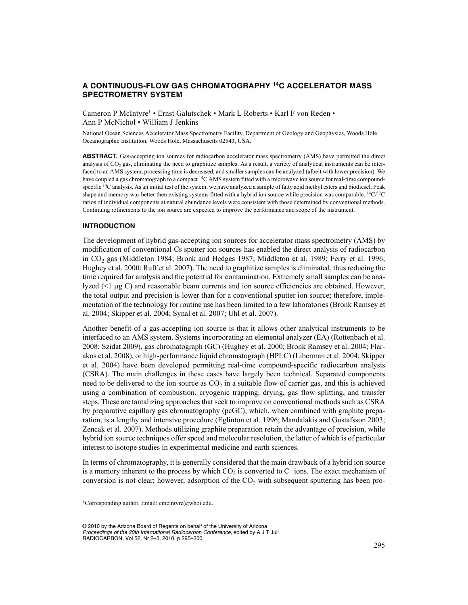# **A CONTINUOUS-FLOW GAS CHROMATOGRAPHY 14C ACCELERATOR MASS SPECTROMETRY SYSTEM**

Cameron P McIntyre1 • Ernst Galutschek • Mark L Roberts • Karl F von Reden • Ann P McNichol • William J Jenkins

National Ocean Sciences Accelerator Mass Spectrometry Facility, Department of Geology and Geophysics, Woods Hole Oceanographic Institution, Woods Hole, Massachusetts 02543, USA.

**ABSTRACT.** Gas-accepting ion sources for radiocarbon accelerator mass spectrometry (AMS) have permitted the direct analysis of  $CO<sub>2</sub>$  gas, eliminating the need to graphitize samples. As a result, a variety of analytical instruments can be interfaced to an AMS system, processing time is decreased, and smaller samples can be analyzed (albeit with lower precision). We have coupled a gas chromatograph to a compact <sup>14</sup>C AMS system fitted with a microwave ion source for real-time compoundspecific <sup>14</sup>C analysis. As an initial test of the system, we have analyzed a sample of fatty acid methyl esters and biodiesel. Peak shape and memory was better then existing systems fitted with a hybrid ion source while precision was comparable. <sup>14</sup>C/<sup>12</sup>C ratios of individual components at natural abundance levels were consistent with those determined by conventional methods. Continuing refinements to the ion source are expected to improve the performance and scope of the instrument.

# **INTRODUCTION**

The development of hybrid gas-accepting ion sources for accelerator mass spectrometry (AMS) by modification of conventional Cs sputter ion sources has enabled the direct analysis of radiocarbon in CO2 gas (Middleton 1984; Bronk and Hedges 1987; Middleton et al. 1989; Ferry et al. 1996; Hughey et al. 2000; Ruff et al. 2007). The need to graphitize samples is eliminated, thus reducing the time required for analysis and the potential for contamination. Extremely small samples can be analyzed  $(\leq 1 \mu g C)$  and reasonable beam currents and ion source efficiencies are obtained. However, the total output and precision is lower than for a conventional sputter ion source; therefore, implementation of the technology for routine use has been limited to a few laboratories (Bronk Ramsey et al. 2004; Skipper et al. 2004; Synal et al. 2007; Uhl et al. 2007).

Another benefit of a gas-accepting ion source is that it allows other analytical instruments to be interfaced to an AMS system. Systems incorporating an elemental analyzer (EA) (Rottenbach et al. 2008; Szidat 2009), gas chromatograph (GC) (Hughey et al. 2000; Bronk Ramsey et al. 2004; Flarakos et al. 2008), or high-performance liquid chromatograph (HPLC) (Liberman et al. 2004; Skipper et al. 2004) have been developed permitting real-time compound-specific radiocarbon analysis (CSRA). The main challenges in these cases have largely been technical. Separated components need to be delivered to the ion source as  $CO<sub>2</sub>$  in a suitable flow of carrier gas, and this is achieved using a combination of combustion, cryogenic trapping, drying, gas flow splitting, and transfer steps. These are tantalizing approaches that seek to improve on conventional methods such as CSRA by preparative capillary gas chromatography (pcGC), which, when combined with graphite preparation, is a lengthy and intensive procedure (Eglinton et al. 1996; Mandalakis and Gustafsson 2003; Zencak et al. 2007). Methods utilizing graphite preparation retain the advantage of precision, while hybrid ion source techniques offer speed and molecular resolution, the latter of which is of particular interest to isotope studies in experimental medicine and earth sciences.

In terms of chromatography, it is generally considered that the main drawback of a hybrid ion source is a memory inherent to the process by which  $CO<sub>2</sub>$  is converted to  $C<sup>-</sup>$  ions. The exact mechanism of conversion is not clear; however, adsorption of the  $CO<sub>2</sub>$  with subsequent sputtering has been pro-

1Corresponding author. Email: cmcintyre@whoi.edu.

© 2010 by the Arizona Board of Regents on behalf of the University of Arizona *Proceedings of the 20th International Radiocarbon Conference,* edited by A J T Jull RADIOCARBON, Vol 52, Nr 2–3, 2010, p 295–300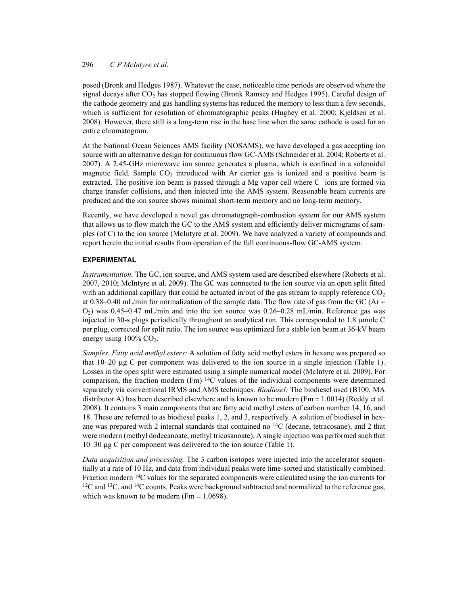# 296 *C P McIntyre et al.*

posed (Bronk and Hedges 1987). Whatever the case, noticeable time periods are observed where the signal decays after  $CO<sub>2</sub>$  has stopped flowing (Bronk Ramsey and Hedges 1995). Careful design of the cathode geometry and gas handling systems has reduced the memory to less than a few seconds, which is sufficient for resolution of chromatographic peaks (Hughey et al. 2000; Kjeldsen et al. 2008). However, there still is a long-term rise in the base line when the same cathode is used for an entire chromatogram.

At the National Ocean Sciences AMS facility (NOSAMS), we have developed a gas accepting ion source with an alternative design for continuous flow GC-AMS (Schneider et al. 2004; Roberts et al. 2007). A 2.45-GHz microwave ion source generates a plasma, which is confined in a solenoidal magnetic field. Sample  $CO<sub>2</sub>$  introduced with Ar carrier gas is ionized and a positive beam is extracted. The positive ion beam is passed through a Mg vapor cell where  $C<sup>-</sup>$  ions are formed via charge transfer collisions, and then injected into the AMS system. Reasonable beam currents are produced and the ion source shows minimal short-term memory and no long-term memory.

Recently, we have developed a novel gas chromatograph-combustion system for our AMS system that allows us to flow match the GC to the AMS system and efficiently deliver micrograms of samples (of C) to the ion source (McIntyre et al. 2009). We have analyzed a variety of compounds and report herein the initial results from operation of the full continuous-flow GC-AMS system.

# **EXPERIMENTAL**

*Instrumentation.* The GC, ion source, and AMS system used are described elsewhere (Roberts et al. 2007, 2010; McIntyre et al. 2009). The GC was connected to the ion source via an open split fitted with an additional capillary that could be actuated in/out of the gas stream to supply reference  $CO<sub>2</sub>$ at 0.38–0.40 mL/min for normalization of the sample data. The flow rate of gas from the GC (Ar + O2) was 0.45–0.47 mL/min and into the ion source was 0.26–0.28 mL/min. Reference gas was injected in 30-s plugs periodically throughout an analytical run. This corresponded to  $1.8 \mu$  umole C per plug, corrected for split ratio. The ion source was optimized for a stable ion beam at 36-kV beam energy using  $100\%$  CO<sub>2</sub>.

*Samples. Fatty acid methyl esters:* A solution of fatty acid methyl esters in hexane was prepared so that  $10-20 \mu$ g C per component was delivered to the ion source in a single injection (Table 1). Losses in the open split were estimated using a simple numerical model (McIntyre et al. 2009). For comparison, the fraction modern (Fm)  $^{14}C$  values of the individual components were determined separately via conventional IRMS and AMS techniques. *Biodiesel:* The biodiesel used (B100, MA distributor A) has been described elsewhere and is known to be modern ( $Fm = 1.0014$ ) (Reddy et al. 2008). It contains 3 main components that are fatty acid methyl esters of carbon number 14, 16, and 18. These are referred to as biodiesel peaks 1, 2, and 3, respectively. A solution of biodiesel in hexane was prepared with 2 internal standards that contained no  ${}^{14}C$  (decane, tetracosane), and 2 that were modern (methyl dodecanoate, methyl tricosanoate). A single injection was performed such that 10–30 μg C per component was delivered to the ion source (Table 1).

*Data acquisition and processing.* The 3 carbon isotopes were injected into the accelerator sequentially at a rate of 10 Hz, and data from individual peaks were time-sorted and statistically combined. Fraction modern <sup>14</sup>C values for the separated components were calculated using the ion currents for  $12C$  and  $13C$ , and  $14C$  counts. Peaks were background subtracted and normalized to the reference gas, which was known to be modern (Fm  $= 1.0698$ ).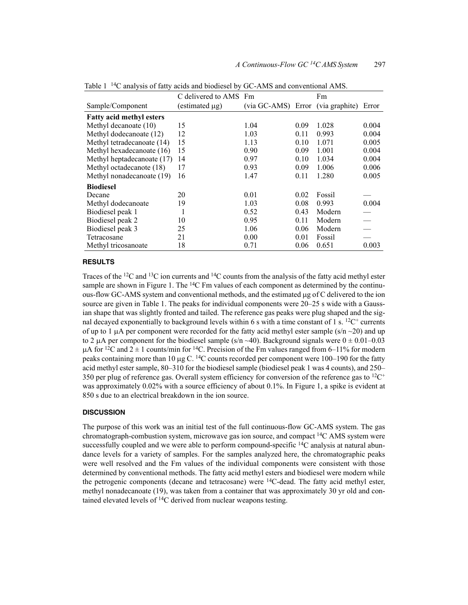|                                 | C delivered to AMS Fm |                                         |      | Fm     |                          |
|---------------------------------|-----------------------|-----------------------------------------|------|--------|--------------------------|
| Sample/Component                | $(estimated \mu g)$   | (via GC-AMS) Error (via graphite) Error |      |        |                          |
| <b>Fatty acid methyl esters</b> |                       |                                         |      |        |                          |
| Methyl decanoate (10)           | 15                    | 1.04                                    | 0.09 | 1.028  | 0.004                    |
| Methyl dodecanoate (12)         | 12                    | 1.03                                    | 0.11 | 0.993  | 0.004                    |
| Methyl tetradecanoate (14)      | 15                    | 1.13                                    | 0.10 | 1.071  | 0.005                    |
| Methyl hexadecanoate (16)       | 15                    | 0.90                                    | 0.09 | 1.001  | 0.004                    |
| Methyl heptadecanoate (17)      | 14                    | 0.97                                    | 0.10 | 1.034  | 0.004                    |
| Methyl octadecanote (18)        | 17                    | 0.93                                    | 0.09 | 1.006  | 0.006                    |
| Methyl nonadecanoate (19)       | 16                    | 1.47                                    | 0.11 | 1.280  | 0.005                    |
| <b>Biodiesel</b>                |                       |                                         |      |        |                          |
| Decane                          | 20                    | 0.01                                    | 0.02 | Fossil |                          |
| Methyl dodecanoate              | 19                    | 1.03                                    | 0.08 | 0.993  | 0.004                    |
| Biodiesel peak 1                | 1                     | 0.52                                    | 0.43 | Modern |                          |
| Biodiesel peak 2                | 10                    | 0.95                                    | 0.11 | Modern |                          |
| Biodiesel peak 3                | 25                    | 1.06                                    | 0.06 | Modern | $\overline{\phantom{0}}$ |
| Tetracosane                     | 21                    | 0.00                                    | 0.01 | Fossil |                          |
| Methyl tricosanoate             | 18                    | 0.71                                    | 0.06 | 0.651  | 0.003                    |

Table 1 14C analysis of fatty acids and biodiesel by GC-AMS and conventional AMS.

#### **RESULTS**

Traces of the <sup>12</sup>C and <sup>13</sup>C ion currents and <sup>14</sup>C counts from the analysis of the fatty acid methyl ester sample are shown in Figure 1. The  ${}^{14}C$  Fm values of each component as determined by the continuous-flow GC-AMS system and conventional methods, and the estimated  $\mu$ g of C delivered to the ion source are given in Table 1. The peaks for individual components were 20–25 s wide with a Gaussian shape that was slightly fronted and tailed. The reference gas peaks were plug shaped and the signal decayed exponentially to background levels within 6 s with a time constant of 1 s.  ${}^{12}C^+$  currents of up to 1  $\mu$ A per component were recorded for the fatty acid methyl ester sample (s/n  $\sim$ 20) and up to 2  $\mu$ A per component for the biodiesel sample (s/n ~40). Background signals were  $0 \pm 0.01$ –0.03  $\mu$ A for <sup>12</sup>C and 2 ± 1 counts/min for <sup>14</sup>C. Precision of the Fm values ranged from 6–11% for modern peaks containing more than 10  $\mu$ g C. <sup>14</sup>C counts recorded per component were 100–190 for the fatty acid methyl ester sample, 80–310 for the biodiesel sample (biodiesel peak 1 was 4 counts), and 250– 350 per plug of reference gas. Overall system efficiency for conversion of the reference gas to  ${}^{12}C^+$ was approximately 0.02% with a source efficiency of about 0.1%. In Figure 1, a spike is evident at 850 s due to an electrical breakdown in the ion source.

### **DISCUSSION**

The purpose of this work was an initial test of the full continuous-flow GC-AMS system. The gas chromatograph-combustion system, microwave gas ion source, and compact  ${}^{14}C$  AMS system were successfully coupled and we were able to perform compound-specific <sup>14</sup>C analysis at natural abundance levels for a variety of samples. For the samples analyzed here, the chromatographic peaks were well resolved and the Fm values of the individual components were consistent with those determined by conventional methods. The fatty acid methyl esters and biodiesel were modern while the petrogenic components (decane and tetracosane) were  ${}^{14}C$ -dead. The fatty acid methyl ester, methyl nonadecanoate (19), was taken from a container that was approximately 30 yr old and contained elevated levels of 14C derived from nuclear weapons testing.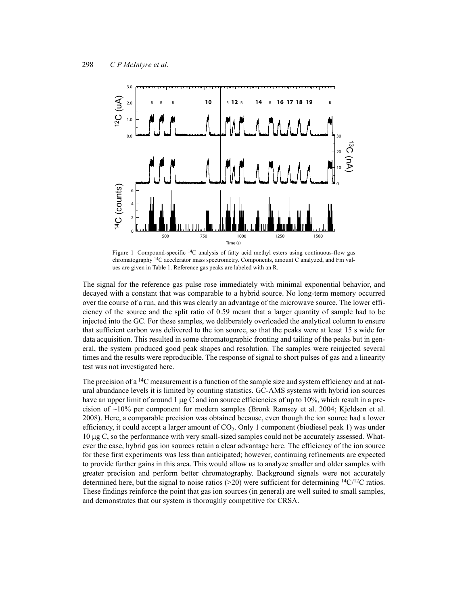

Figure 1 Compound-specific 14C analysis of fatty acid methyl esters using continuous-flow gas chromatography 14C accelerator mass spectrometry. Components, amount C analyzed, and Fm values are given in Table 1. Reference gas peaks are labeled with an R.

The signal for the reference gas pulse rose immediately with minimal exponential behavior, and decayed with a constant that was comparable to a hybrid source. No long-term memory occurred over the course of a run, and this was clearly an advantage of the microwave source. The lower efficiency of the source and the split ratio of 0.59 meant that a larger quantity of sample had to be injected into the GC. For these samples, we deliberately overloaded the analytical column to ensure that sufficient carbon was delivered to the ion source, so that the peaks were at least 15 s wide for data acquisition. This resulted in some chromatographic fronting and tailing of the peaks but in general, the system produced good peak shapes and resolution. The samples were reinjected several times and the results were reproducible. The response of signal to short pulses of gas and a linearity test was not investigated here.

The precision of a  $^{14}C$  measurement is a function of the sample size and system efficiency and at natural abundance levels it is limited by counting statistics. GC-AMS systems with hybrid ion sources have an upper limit of around  $1 \mu g$  C and ion source efficiencies of up to 10%, which result in a precision of ~10% per component for modern samples (Bronk Ramsey et al. 2004; Kjeldsen et al. 2008). Here, a comparable precision was obtained because, even though the ion source had a lower efficiency, it could accept a larger amount of  $CO<sub>2</sub>$ . Only 1 component (biodiesel peak 1) was under 10 g C, so the performance with very small-sized samples could not be accurately assessed. Whatever the case, hybrid gas ion sources retain a clear advantage here. The efficiency of the ion source for these first experiments was less than anticipated; however, continuing refinements are expected to provide further gains in this area. This would allow us to analyze smaller and older samples with greater precision and perform better chromatography. Background signals were not accurately determined here, but the signal to noise ratios (>20) were sufficient for determining  $\frac{14C}{12C}$  ratios. These findings reinforce the point that gas ion sources (in general) are well suited to small samples, and demonstrates that our system is thoroughly competitive for CRSA.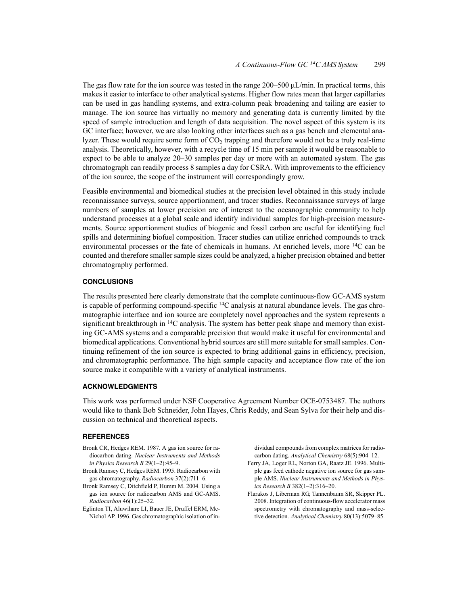The gas flow rate for the ion source was tested in the range  $200-500 \mu L/min$ . In practical terms, this makes it easier to interface to other analytical systems. Higher flow rates mean that larger capillaries can be used in gas handling systems, and extra-column peak broadening and tailing are easier to manage. The ion source has virtually no memory and generating data is currently limited by the speed of sample introduction and length of data acquisition. The novel aspect of this system is its GC interface; however, we are also looking other interfaces such as a gas bench and elemental analyzer. These would require some form of  $CO<sub>2</sub>$  trapping and therefore would not be a truly real-time analysis. Theoretically, however, with a recycle time of 15 min per sample it would be reasonable to expect to be able to analyze 20–30 samples per day or more with an automated system. The gas chromatograph can readily process 8 samples a day for CSRA. With improvements to the efficiency of the ion source, the scope of the instrument will correspondingly grow.

Feasible environmental and biomedical studies at the precision level obtained in this study include reconnaissance surveys, source apportionment, and tracer studies. Reconnaissance surveys of large numbers of samples at lower precision are of interest to the oceanographic community to help understand processes at a global scale and identify individual samples for high-precision measurements. Source apportionment studies of biogenic and fossil carbon are useful for identifying fuel spills and determining biofuel composition. Tracer studies can utilize enriched compounds to track environmental processes or the fate of chemicals in humans. At enriched levels, more  $^{14}C$  can be counted and therefore smaller sample sizes could be analyzed, a higher precision obtained and better chromatography performed.

# **CONCLUSIONS**

The results presented here clearly demonstrate that the complete continuous-flow GC-AMS system is capable of performing compound-specific  $\rm{^{14}C}$  analysis at natural abundance levels. The gas chromatographic interface and ion source are completely novel approaches and the system represents a significant breakthrough in  $14C$  analysis. The system has better peak shape and memory than existing GC-AMS systems and a comparable precision that would make it useful for environmental and biomedical applications. Conventional hybrid sources are still more suitable for small samples. Continuing refinement of the ion source is expected to bring additional gains in efficiency, precision, and chromatographic performance. The high sample capacity and acceptance flow rate of the ion source make it compatible with a variety of analytical instruments.

### **ACKNOWLEDGMENTS**

This work was performed under NSF Cooperative Agreement Number OCE-0753487. The authors would like to thank Bob Schneider, John Hayes, Chris Reddy, and Sean Sylva for their help and discussion on technical and theoretical aspects.

#### **REFERENCES**

- Bronk CR, Hedges REM. 1987. A gas ion source for radiocarbon dating. *Nuclear Instruments and Methods in Physics Research B* 29(1–2):45–9.
- Bronk Ramsey C, Hedges REM. 1995. Radiocarbon with gas chromatography. *Radiocarbon* 37(2):711–6.
- Bronk Ramsey C, Ditchfield P, Humm M. 2004. Using a gas ion source for radiocarbon AMS and GC-AMS. *Radiocarbon* 46(1):25–32.
- Eglinton TI, Aluwihare LI, Bauer JE, Druffel ERM, Mc-Nichol AP. 1996. Gas chromatographic isolation of in-

dividual compounds from complex matrices for radiocarbon dating. *Analytical Chemistry* 68(5):904–12.

- Ferry JA, Loger RL, Norton GA, Raatz JE. 1996. Multiple gas feed cathode negative ion source for gas sample AMS. *Nuclear Instruments and Methods in Physics Research B* 382(1–2):316–20.
- Flarakos J, Liberman RG, Tannenbaum SR, Skipper PL. 2008. Integration of continuous-flow accelerator mass spectrometry with chromatography and mass-selective detection. *Analytical Chemistry* 80(13):5079–85.